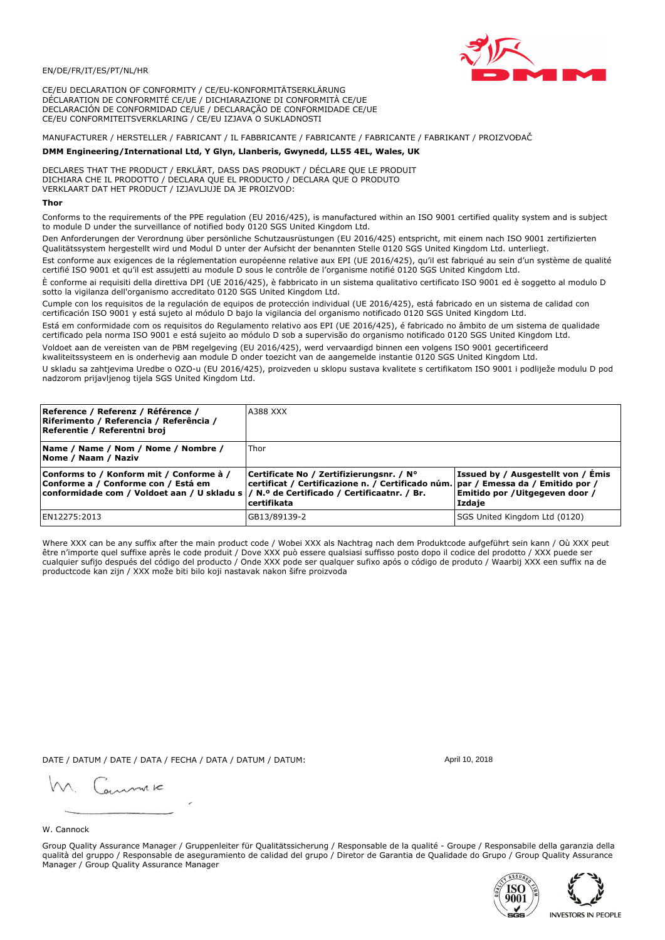## EN/DE/FR/IT/ES/PT/NL/HR

CE/EU DECLARATION OF CONFORMITY / CE/EU-KONFORMITÄTSERKLÄRUNG DÉCLARATION DE CONFORMITÉ CE/UE / DICHIARAZIONE DI CONFORMITÀ CE/UE DECLARACIÓN DE CONFORMIDAD CE/UE / DECLARAÇÃO DE CONFORMIDADE CE/UE CE/EU CONFORMITEITSVERKLARING / CE/EU IZJAVA O SUKLADNOSTI

# MANUFACTURER / HERSTELLER / FABRICANT / IL FABBRICANTE / FABRICANTE / FABRICANTE / FABRIKANT / PROIZVOĐAČ

## DMM Engineering/International Ltd, Y Glyn, Llanberis, Gwynedd, LL55 4EL, Wales, UK

DECLARES THAT THE PRODUCT / ERKLÄRT, DASS DAS PRODUKT / DÉCLARE QUE LE PRODUIT<br>DICHIARA CHE IL PRODOTTO / DECLARA QUE EL PRODUCTO / DECLARA QUE O PRODUTO VERKLAART DAT HET PRODUCT / IZJAVLJUJE DA JE PROIZVOD:

### Thor

Conforms to the requirements of the PPE regulation (EU 2016/425), is manufactured within an ISO 9001 certified quality system and is subject to module D under the surveillance of notified body 0120 SGS United Kingdom Ltd.

Den Anforderungen der Verordnung über persönliche Schutzausrüstungen (EU 2016/425) entspricht, mit einem nach ISO 9001 zertifizierten Qualitätssystem hergestellt wird und Modul D unter der Aufsicht der benannten Stelle 0120 SGS United Kingdom Ltd. unterliegt.

Est conforme aux exigences de la réglementation européenne relative aux EPI (UE 2016/425), qu'il est fabriqué au sein d'un système de qualité certifié ISO 9001 et qu'il est assujetti au module D sous le contrôle de l'organisme notifié 0120 SGS United Kingdom Ltd.

È conforme ai requisiti della direttiva DPI (UE 2016/425), è fabbricato in un sistema qualitativo certificato ISO 9001 ed è soggetto al modulo D sotto la vigilanza dell'organismo accreditato 0120 SGS United Kingdom Ltd.

Cumple con los requisitos de la regulación de equipos de protección individual (UE 2016/425), está fabricado en un sistema de calidad con certificación ISO 9001 y está sujeto al módulo D bajo la vigilancia del organismo notificado 0120 SGS United Kingdom Ltd.

Está em conformidade com os requisitos do Regulamento relativo aos EPI (UE 2016/425), é fabricado no âmbito de um sistema de qualidade certificado pela norma ISO 9001 e está sujeito ao módulo D sob a supervisão do organismo notificado 0120 SGS United Kingdom Ltd. Voldoet aan de vereisten van de PBM regelgeving (EU 2016/425), werd vervaardigd binnen een volgens ISO 9001 gecertificeerd

kwaliteitssysteem en is onderhevig aan module D onder toezicht van de aangemelde instantie 0120 SGS United Kingdom Ltd.

U skladu sa zahtjevima Uredbe o OZO-u (EU 2016/425), proizveden u sklopu sustava kvalitete s certifikatom ISO 9001 i podliježe modulu D pod nadzorom prijavljenog tijela SGS United Kingdom Ltd.

| Reference / Referenz / Référence /<br>Riferimento / Referencia / Referência /<br>Referentie / Referentni broj                                                               | A388 XXX                                                                                                                                         |                                                                                 |
|-----------------------------------------------------------------------------------------------------------------------------------------------------------------------------|--------------------------------------------------------------------------------------------------------------------------------------------------|---------------------------------------------------------------------------------|
| Name / Name / Nom / Nome / Nombre /<br>Nome / Naam / Naziv                                                                                                                  | Thor                                                                                                                                             |                                                                                 |
| Conforms to / Konform mit / Conforme à /<br>Conforme a / Conforme con / Está em<br>conformidade com / Voldoet aan / U skladu s  / N.º de Certificado / Certificaatnr. / Br. | Certificate No / Zertifizierungsnr. / N°<br>  certificat / Certificazione n. / Certificado núm.   par / Emessa da / Emitido por /<br>certifikata | Issued by / Ausgestellt von / Emis<br>Emitido por / Uitgegeven door /<br>Izdaje |
| EN12275:2013                                                                                                                                                                | GB13/89139-2                                                                                                                                     | SGS United Kingdom Ltd (0120)                                                   |

Where XXX can be any suffix after the main product code / Wobei XXX als Nachtrag nach dem Produktcode aufgeführt sein kann / Où XXX peut etre n'importe quel suffixe après le code produit / Dove XXX può essere qualsiasi suffisso posto dopo il codice del prodotto / XXX puede ser<br>cualquier sufijo después del código del producto / Onde XXX pode ser qualquer suf productcode kan zijn / XXX može biti bilo koji nastavak nakon šifre proizvoda

DATE / DATUM / DATE / DATA / FECHA / DATA / DATUM / DATUM:

gimmic

April 10, 2018

# W. Cannock

Group Quality Assurance Manager / Gruppenleiter für Qualitätssicherung / Responsable de la qualité - Groupe / Responsabile della garanzia della qualità del gruppo / Responsable de aseguramiento de calidad del grupo / Diretor de Garantia de Qualidade do Grupo / Group Quality Assurance Manager / Group Quality Assurance Manager



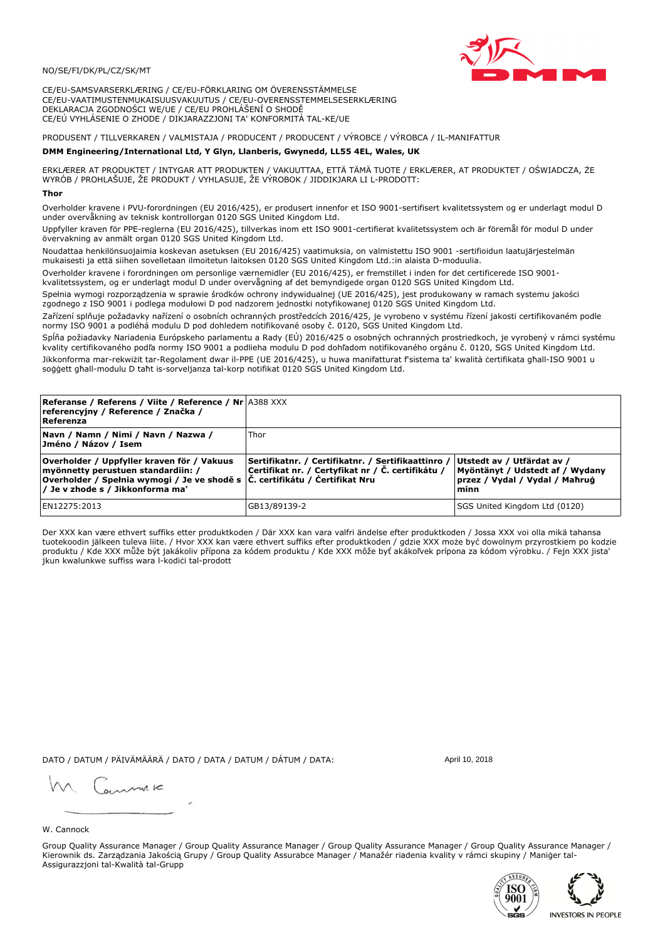## NO/SE/FI/DK/PL/CZ/SK/MT

CE/EU-SAMSVARSERKLÆRING / CE/EU-FÖRKLARING OM ÖVERENSSTÄMMELSE CE/EU-VAATIMUSTENMUKAISUUSVAKUUTUS / CE/EU-OVERENSSTEMMELSESERKLÆRING DEKLARACJA ZGODNOŚCI WE/UE / CE/EU PROHLÁŠENÍ O SHODĚ CE/EÚ VYHLÁSENIE O ZHODE / DIKJARAZZJONI TA' KONFORMITÀ TAL-KE/UE

# PRODUSENT / TILLVERKAREN / VALMISTAJA / PRODUCENT / PRODUCENT / VÝROBCE / VÝROBCA / IL-MANIFATTUR

### DMM Engineering/International Ltd, Y Glyn, Llanberis, Gwynedd, LL55 4EL, Wales, UK

ERKLÆRER AT PRODUKTET / INTYGAR ATT PRODUKTEN / VAKUUTTAA, ETTÄ TÄMÄ TUOTE / ERKLÆRER, AT PRODUKTET / OŚWIADCZA, ŻE<br>WYRÓB / PROHLAŠUJE, ŽE PRODUKT / VYHLASUJE, ŽE VÝROBOK / JIDDIKJARA LI L-PRODOTT:

Overholder kravene i PVU-forordningen (EU 2016/425), er produsert innenfor et ISO 9001-sertifisert kvalitetssystem og er underlagt modul D<br>under overvåkning av teknisk kontrollorgan 0120 SGS United Kingdom Ltd.

Uppfyller kraven för PPE-reglerna (EU 2016/425), tillverkas inom ett ISO 9001-certifierat kvalitetssystem och är föremål för modul D under övervakning av anmält organ 0120 SGS United Kingdom Ltd.

Noudattaa henkilönsuojaimia koskevan asetuksen (EU 2016/425) vaatimuksia, on valmistettu ISO 9001 -sertifioidun laatujärjestelmän mukaisesti ja että siihen sovelletaan ilmoitetun laitoksen 0120 SGS United Kingdom Ltd.:in alaista D-moduulia.

Overholder kravene i forordningen om personlige værnemidler (EU 2016/425), er fremstillet i inden for det certificerede ISO 9001kvalitetssystem, og er underlagt modul D under overvågning af det bemyndigede organ 0120 SGS United Kingdom Ltd.

Spełnia wymogi rozporządzenia w sprawie środków ochrony indywidualnej (UE 2016/425), jest produkowany w ramach systemu jakości zgodnego z ISO 9001 i podlega modułowi D pod nadzorem jednostki notyfikowanej 0120 SGS United Kingdom Ltd.

Zařízení splňuje požadavky nařízení o osobních ochranných prostředcích 2016/425, je vyrobeno v systému řízení jakosti certifikovaném podle normy ISO 9001 a podléhá modulu D pod dohledem notifikované osoby č. 0120, SGS United Kingdom Ltd.

Spĺňa požiadavky Nariadenia Európskeho parlamentu a Rady (EÚ) 2016/425 o osobných ochranných prostriedkoch, je vyrobený v rámci systému kvality certifikovaného podľa normy ISO 9001 a podlieha modulu D pod dohľadom notifikovaného orgánu č. 0120, SGS United Kingdom Ltd. Jikkonforma mar-rekwiżit tar-Regolament dwar il-PPE (UE 2016/425), u huwa manifatturat f'sistema ta' kwalità certifikata għall-ISO 9001 u soggett ghall-modulu D taht is-sorveljanza tal-korp notifikat 0120 SGS United Kingdom Ltd.

| <b>Referanse / Referens / Viite / Reference / Nr 4388 XXX</b><br>referencyjny / Reference / Značka /<br>Referenza                                                                                                 |                                                                                                         |                                                                                                         |
|-------------------------------------------------------------------------------------------------------------------------------------------------------------------------------------------------------------------|---------------------------------------------------------------------------------------------------------|---------------------------------------------------------------------------------------------------------|
| Navn / Namn / Nimi / Navn / Nazwa /<br> Jméno / Názov / Isem                                                                                                                                                      | Thor                                                                                                    |                                                                                                         |
| Overholder / Uppfyller kraven för / Vakuus<br>myönnetty perustuen standardiin: /<br> Overholder / Spełnia wymogi / Je ve shodě s $ \tilde{C} $ . certifikátu / Certifikat Nru<br>/ Je v zhode s / Jikkonforma ma' | Sertifikatnr. / Certifikatnr. / Sertifikaattinro /<br>Certifikat nr. / Certyfikat nr / Č. certifikátu / | Utstedt av / Utfärdat av /<br>Myöntänyt / Udstedt af / Wydany<br>przez / Vydal / Vydal / Mahrug<br>minn |
| EN12275:2013                                                                                                                                                                                                      | GB13/89139-2                                                                                            | SGS United Kingdom Ltd (0120)                                                                           |

Der XXX kan være ethvert suffiks etter produktkoden / Där XXX kan vara valfri ändelse efter produktkoden / Jossa XXX voi olla mikä tahansa tuotekoodin jälkeen tuleva liite. / Hvor XXX kan være ethvert suffiks efter produktkoden / gdzie XXX może być dowolnym przyrostkiem po kodzie produktu / Kde XXX může být jakákoliv přípona za kódem produktu / Kde XXX môže byť akákoľvek prípona za kódom výrobku. / Fejn XXX jista jkun kwalunkwe suffiss wara l-kodici tal-prodott

DATO / DATUM / PÄIVÄMÄÄRÄ / DATO / DATA / DATUM / DÁTUM / DATA:

April 10, 2018

annuic

### W. Cannock

Group Quality Assurance Manager / Group Quality Assurance Manager / Group Quality Assurance Manager / Group Quality Assurance Manager / Kierownik ds. Zarządzania Jakością Grupy / Group Quality Assurabce Manager / Manažér riadenia kvality v rámci skupiny / Maniger tal-Assigurazzjoni tal-Kwalità tal-Grupp